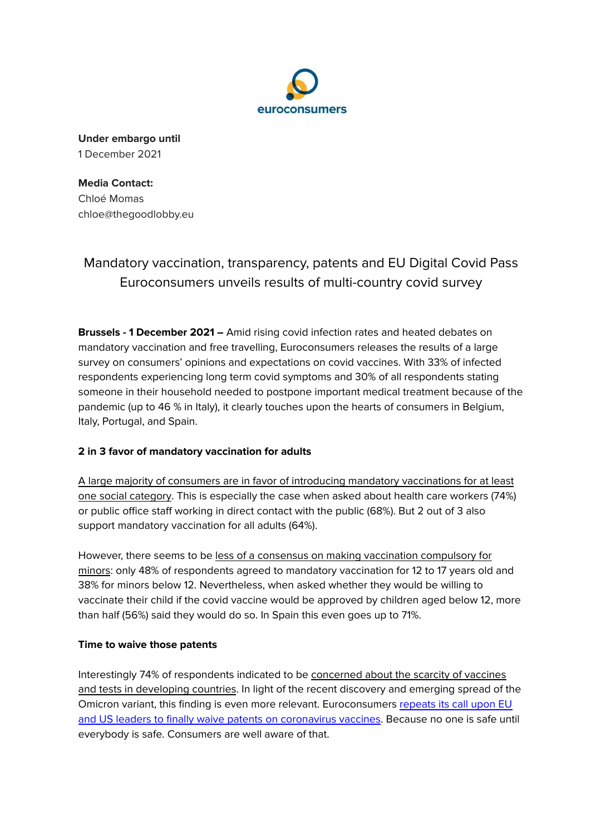

**Under embargo until** 1 December 2021

**Media Contact:** Chloé Momas chloe@thegoodlobby.eu

# Mandatory vaccination, transparency, patents and EU Digital Covid Pass Euroconsumers unveils results of multi-country covid survey

**Brussels - 1 December 2021 –** Amid rising covid infection rates and heated debates on mandatory vaccination and free travelling, Euroconsumers releases the results of a large survey on consumers' opinions and expectations on covid vaccines. With 33% of infected respondents experiencing long term covid symptoms and 30% of all respondents stating someone in their household needed to postpone important medical treatment because of the pandemic (up to 46 % in Italy), it clearly touches upon the hearts of consumers in Belgium, Italy, Portugal, and Spain.

# **2 in 3 favor of mandatory vaccination for adults**

A large majority of consumers are in favor of introducing mandatory vaccinations for at least one social category. This is especially the case when asked about health care workers (74%) or public office staff working in direct contact with the public (68%). But 2 out of 3 also support mandatory vaccination for all adults (64%).

However, there seems to be less of a consensus on making vaccination compulsory for minors: only 48% of respondents agreed to mandatory vaccination for 12 to 17 years old and 38% for minors below 12. Nevertheless, when asked whether they would be willing to vaccinate their child if the covid vaccine would be approved by children aged below 12, more than half (56%) said they would do so. In Spain this even goes up to 71%.

# **Time to waive those patents**

Interestingly 74% of respondents indicated to be concerned about the scarcity of vaccines and tests in developing countries. In light of the recent discovery and emerging spread of the Omicron variant, this finding is even more relevant. Euroconsumers [repeats](https://www.euroconsumers.org/activities/consumer-organisations-call-eu-us-leaders-waive-vaccines-patents) its call upon EU and US leaders to finally waive patents on [coronavirus](https://www.euroconsumers.org/activities/consumer-organisations-call-eu-us-leaders-waive-vaccines-patents) vaccines. Because no one is safe until everybody is safe. Consumers are well aware of that.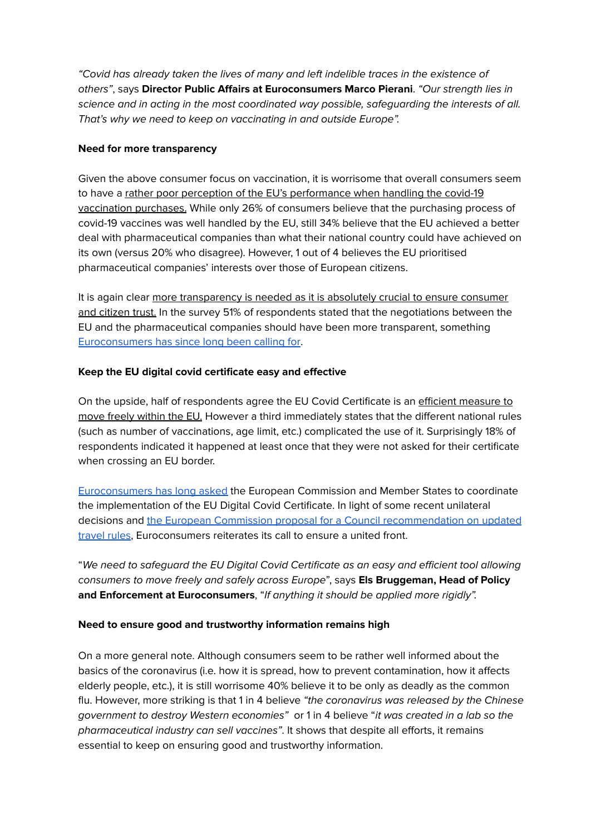"Covid has already taken the lives of many and left indelible traces in the existence of others", says **Director Public Affairs at Euroconsumers Marco Pierani**. "Our strength lies in science and in acting in the most coordinated way possible, safeguarding the interests of all. That's why we need to keep on vaccinating in and outside Europe".

#### **Need for more transparency**

Given the above consumer focus on vaccination, it is worrisome that overall consumers seem to have a rather poor perception of the EU's performance when handling the covid-19 vaccination purchases. While only 26% of consumers believe that the purchasing process of covid-19 vaccines was well handled by the EU, still 34% believe that the EU achieved a better deal with pharmaceutical companies than what their national country could have achieved on its own (versus 20% who disagree). However, 1 out of 4 believes the EU prioritised pharmaceutical companies' interests over those of European citizens.

It is again clear more transparency is needed as it is absolutely crucial to ensure consumer and citizen trust. In the survey 51% of respondents stated that the negotiations between the EU and the pharmaceutical companies should have been more transparent, something [Euroconsumers](https://assets.ctfassets.net/iapmw8ie3ije/3qzjIKTL82smZW1hZKgPOG/f8af4e389db6a290e3f937a1f87a2053/Press_Release_Time_for_Transparency_on_COVID-19_Vaccination.pdf) has since long been calling for.

## **Keep the EU digital covid certificate easy and effective**

On the upside, half of respondents agree the EU Covid Certificate is an efficient measure to move freely within the EU. However a third immediately states that the different national rules (such as number of vaccinations, age limit, etc.) complicated the use of it. Surprisingly 18% of respondents indicated it happened at least once that they were not asked for their certificate when crossing an EU border.

[Euroconsumers](https://www.euroconsumers.org/activities/why-a-digital-green-certificate-if-member-states-wont-comply-with-it) has long asked the European Commission and Member States to coordinate the implementation of the EU Digital Covid Certificate. In light of some recent unilateral decisions and the European Commission proposal for a Council [recommendation](https://ec.europa.eu/commission/presscorner/detail/en/ip_21_6186) on updated [travel](https://ec.europa.eu/commission/presscorner/detail/en/ip_21_6186) rules, Euroconsumers reiterates its call to ensure a united front.

"We need to safeguard the EU Digital Covid Certificate as an easy and efficient tool allowing consumers to move freely and safely across Europe", says **Els Bruggeman, Head of Policy and Enforcement at Euroconsumers**, "If anything it should be applied more rigidly".

## **Need to ensure good and trustworthy information remains high**

On a more general note. Although consumers seem to be rather well informed about the basics of the coronavirus (i.e. how it is spread, how to prevent contamination, how it affects elderly people, etc.), it is still worrisome 40% believe it to be only as deadly as the common flu. However, more striking is that 1 in 4 believe "the coronavirus was released by the Chinese government to destroy Western economies" or 1 in 4 believe "it was created in a lab so the pharmaceutical industry can sell vaccines". It shows that despite all efforts, it remains essential to keep on ensuring good and trustworthy information.